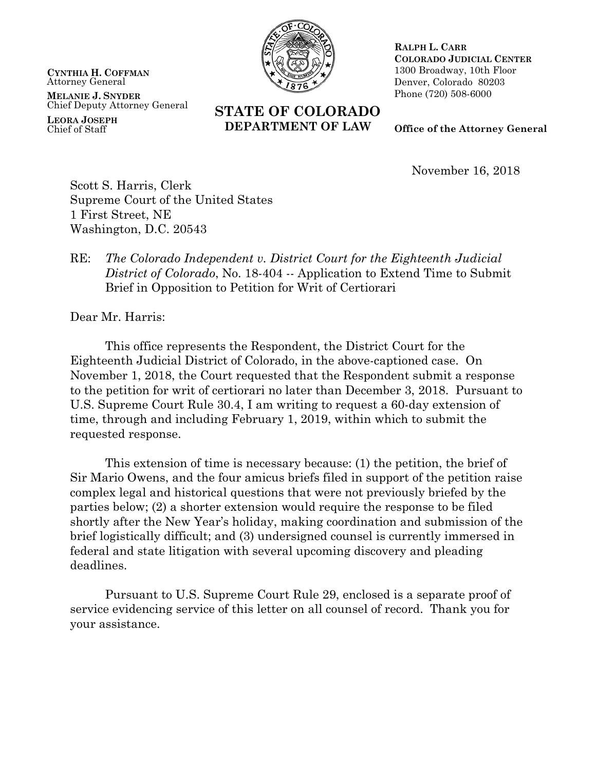**CYNTHIA H. COFFMAN** Attorney General

**MELANIE J. SNYDER** Chief Deputy Attorney General

**LEORA JOSEPH** Chief of Staff



**STATE OF COLORADO DEPARTMENT OF LAW**

**RALPH L. CARR COLORADO JUDICIAL CENTER** 1300 Broadway, 10th Floor Denver, Colorado 80203 Phone (720) 508-6000

**Office of the Attorney General**

November 16, 2018

Scott S. Harris, Clerk Supreme Court of the United States 1 First Street, NE Washington, D.C. 20543

## RE: *The Colorado Independent v. District Court for the Eighteenth Judicial District of Colorado*, No. 18-404 -- Application to Extend Time to Submit Brief in Opposition to Petition for Writ of Certiorari

Dear Mr. Harris:

This office represents the Respondent, the District Court for the Eighteenth Judicial District of Colorado, in the above-captioned case. On November 1, 2018, the Court requested that the Respondent submit a response to the petition for writ of certiorari no later than December 3, 2018. Pursuant to U.S. Supreme Court Rule 30.4, I am writing to request a 60-day extension of time, through and including February 1, 2019, within which to submit the requested response.

This extension of time is necessary because: (1) the petition, the brief of Sir Mario Owens, and the four amicus briefs filed in support of the petition raise complex legal and historical questions that were not previously briefed by the parties below; (2) a shorter extension would require the response to be filed shortly after the New Year's holiday, making coordination and submission of the brief logistically difficult; and (3) undersigned counsel is currently immersed in federal and state litigation with several upcoming discovery and pleading deadlines.

Pursuant to U.S. Supreme Court Rule 29, enclosed is a separate proof of service evidencing service of this letter on all counsel of record. Thank you for your assistance.